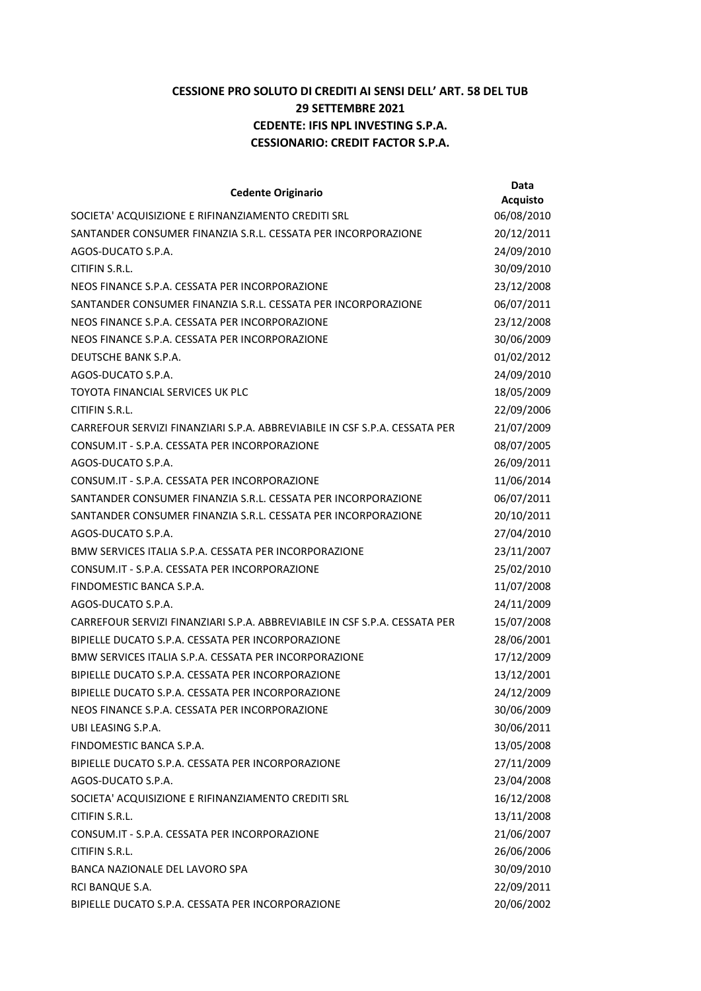## CESSIONE PRO SOLUTO DI CREDITI AI SENSI DELL' ART. 58 DEL TUB 29 SETTEMBRE 2021 CEDENTE: IFIS NPL INVESTING S.P.A. CESSIONARIO: CREDIT FACTOR S.P.A.

| <b>Cedente Originario</b>                                                  | <b>Data</b>                   |
|----------------------------------------------------------------------------|-------------------------------|
| SOCIETA' ACQUISIZIONE E RIFINANZIAMENTO CREDITI SRL                        | <b>Acquisto</b><br>06/08/2010 |
| SANTANDER CONSUMER FINANZIA S.R.L. CESSATA PER INCORPORAZIONE              | 20/12/2011                    |
| AGOS-DUCATO S.P.A.                                                         | 24/09/2010                    |
| CITIFIN S.R.L.                                                             | 30/09/2010                    |
| NEOS FINANCE S.P.A. CESSATA PER INCORPORAZIONE                             | 23/12/2008                    |
| SANTANDER CONSUMER FINANZIA S.R.L. CESSATA PER INCORPORAZIONE              | 06/07/2011                    |
| NEOS FINANCE S.P.A. CESSATA PER INCORPORAZIONE                             | 23/12/2008                    |
| NEOS FINANCE S.P.A. CESSATA PER INCORPORAZIONE                             | 30/06/2009                    |
| DEUTSCHE BANK S.P.A.                                                       | 01/02/2012                    |
| AGOS-DUCATO S.P.A.                                                         | 24/09/2010                    |
| TOYOTA FINANCIAL SERVICES UK PLC                                           | 18/05/2009                    |
| CITIFIN S.R.L.                                                             | 22/09/2006                    |
| CARREFOUR SERVIZI FINANZIARI S.P.A. ABBREVIABILE IN CSF S.P.A. CESSATA PER | 21/07/2009                    |
| CONSUM.IT - S.P.A. CESSATA PER INCORPORAZIONE                              | 08/07/2005                    |
| AGOS-DUCATO S.P.A.                                                         | 26/09/2011                    |
| CONSUM.IT - S.P.A. CESSATA PER INCORPORAZIONE                              | 11/06/2014                    |
| SANTANDER CONSUMER FINANZIA S.R.L. CESSATA PER INCORPORAZIONE              | 06/07/2011                    |
| SANTANDER CONSUMER FINANZIA S.R.L. CESSATA PER INCORPORAZIONE              | 20/10/2011                    |
| AGOS-DUCATO S.P.A.                                                         | 27/04/2010                    |
| BMW SERVICES ITALIA S.P.A. CESSATA PER INCORPORAZIONE                      | 23/11/2007                    |
| CONSUM.IT - S.P.A. CESSATA PER INCORPORAZIONE                              | 25/02/2010                    |
| FINDOMESTIC BANCA S.P.A.                                                   | 11/07/2008                    |
| AGOS-DUCATO S.P.A.                                                         | 24/11/2009                    |
| CARREFOUR SERVIZI FINANZIARI S.P.A. ABBREVIABILE IN CSF S.P.A. CESSATA PER | 15/07/2008                    |
| BIPIELLE DUCATO S.P.A. CESSATA PER INCORPORAZIONE                          | 28/06/2001                    |
| BMW SERVICES ITALIA S.P.A. CESSATA PER INCORPORAZIONE                      | 17/12/2009                    |
| BIPIELLE DUCATO S.P.A. CESSATA PER INCORPORAZIONE                          | 13/12/2001                    |
| BIPIELLE DUCATO S.P.A. CESSATA PER INCORPORAZIONE                          | 24/12/2009                    |
| NEOS FINANCE S.P.A. CESSATA PER INCORPORAZIONE                             | 30/06/2009                    |
| UBI LEASING S.P.A.                                                         | 30/06/2011                    |
| FINDOMESTIC BANCA S.P.A.                                                   | 13/05/2008                    |
| BIPIELLE DUCATO S.P.A. CESSATA PER INCORPORAZIONE                          | 27/11/2009                    |
| AGOS-DUCATO S.P.A.                                                         | 23/04/2008                    |
| SOCIETA' ACQUISIZIONE E RIFINANZIAMENTO CREDITI SRL                        | 16/12/2008                    |
| CITIFIN S.R.L.                                                             | 13/11/2008                    |
| CONSUM.IT - S.P.A. CESSATA PER INCORPORAZIONE                              | 21/06/2007                    |
| CITIFIN S.R.L.                                                             | 26/06/2006                    |
| BANCA NAZIONALE DEL LAVORO SPA                                             | 30/09/2010                    |
| RCI BANQUE S.A.                                                            | 22/09/2011                    |
| BIPIELLE DUCATO S.P.A. CESSATA PER INCORPORAZIONE                          | 20/06/2002                    |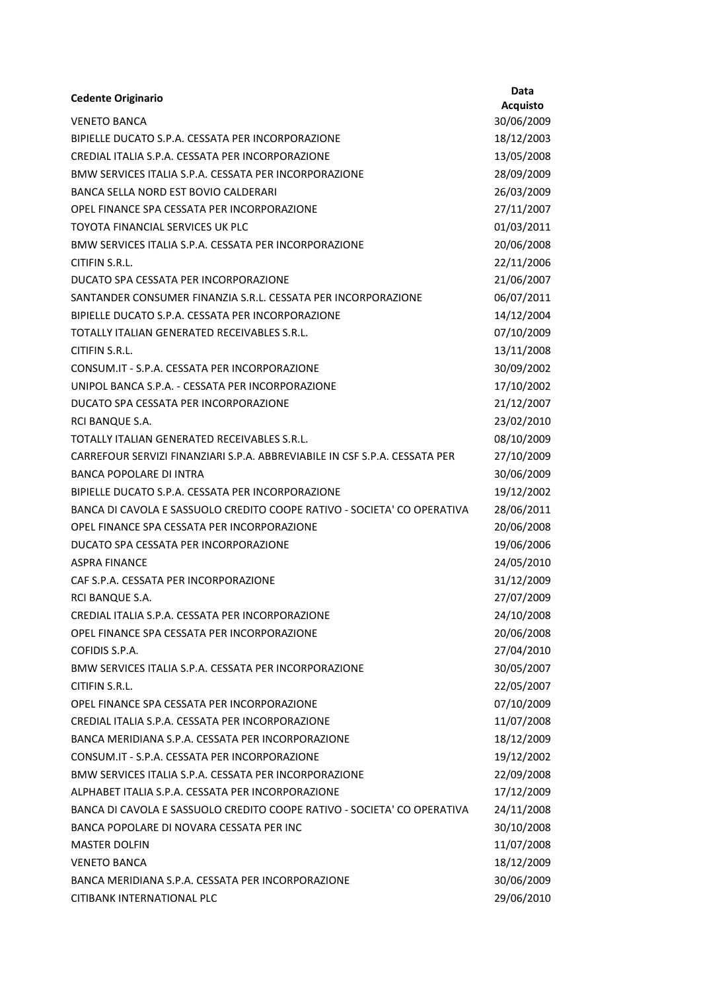| <b>Cedente Originario</b>                                                  | Data            |
|----------------------------------------------------------------------------|-----------------|
| <b>VENETO BANCA</b>                                                        | <b>Acquisto</b> |
| BIPIELLE DUCATO S.P.A. CESSATA PER INCORPORAZIONE                          | 30/06/2009      |
|                                                                            | 18/12/2003      |
| CREDIAL ITALIA S.P.A. CESSATA PER INCORPORAZIONE                           | 13/05/2008      |
| BMW SERVICES ITALIA S.P.A. CESSATA PER INCORPORAZIONE                      | 28/09/2009      |
| BANCA SELLA NORD EST BOVIO CALDERARI                                       | 26/03/2009      |
| OPEL FINANCE SPA CESSATA PER INCORPORAZIONE                                | 27/11/2007      |
| TOYOTA FINANCIAL SERVICES UK PLC                                           | 01/03/2011      |
| BMW SERVICES ITALIA S.P.A. CESSATA PER INCORPORAZIONE                      | 20/06/2008      |
| CITIFIN S.R.L.                                                             | 22/11/2006      |
| DUCATO SPA CESSATA PER INCORPORAZIONE                                      | 21/06/2007      |
| SANTANDER CONSUMER FINANZIA S.R.L. CESSATA PER INCORPORAZIONE              | 06/07/2011      |
| BIPIELLE DUCATO S.P.A. CESSATA PER INCORPORAZIONE                          | 14/12/2004      |
| TOTALLY ITALIAN GENERATED RECEIVABLES S.R.L.                               | 07/10/2009      |
| CITIFIN S.R.L.                                                             | 13/11/2008      |
| CONSUM.IT - S.P.A. CESSATA PER INCORPORAZIONE                              | 30/09/2002      |
| UNIPOL BANCA S.P.A. - CESSATA PER INCORPORAZIONE                           | 17/10/2002      |
| DUCATO SPA CESSATA PER INCORPORAZIONE                                      | 21/12/2007      |
| RCI BANQUE S.A.                                                            | 23/02/2010      |
| TOTALLY ITALIAN GENERATED RECEIVABLES S.R.L.                               | 08/10/2009      |
| CARREFOUR SERVIZI FINANZIARI S.P.A. ABBREVIABILE IN CSF S.P.A. CESSATA PER | 27/10/2009      |
| <b>BANCA POPOLARE DI INTRA</b>                                             | 30/06/2009      |
| BIPIELLE DUCATO S.P.A. CESSATA PER INCORPORAZIONE                          | 19/12/2002      |
| BANCA DI CAVOLA E SASSUOLO CREDITO COOPE RATIVO - SOCIETA' CO OPERATIVA    | 28/06/2011      |
| OPEL FINANCE SPA CESSATA PER INCORPORAZIONE                                | 20/06/2008      |
| DUCATO SPA CESSATA PER INCORPORAZIONE                                      | 19/06/2006      |
| <b>ASPRA FINANCE</b>                                                       | 24/05/2010      |
| CAF S.P.A. CESSATA PER INCORPORAZIONE                                      | 31/12/2009      |
| <b>RCI BANQUE S.A.</b>                                                     | 27/07/2009      |
| CREDIAL ITALIA S.P.A. CESSATA PER INCORPORAZIONE                           | 24/10/2008      |
| OPEL FINANCE SPA CESSATA PER INCORPORAZIONE                                | 20/06/2008      |
| COFIDIS S.P.A.                                                             | 27/04/2010      |
| BMW SERVICES ITALIA S.P.A. CESSATA PER INCORPORAZIONE                      | 30/05/2007      |
| CITIFIN S.R.L.                                                             | 22/05/2007      |
| OPEL FINANCE SPA CESSATA PER INCORPORAZIONE                                | 07/10/2009      |
| CREDIAL ITALIA S.P.A. CESSATA PER INCORPORAZIONE                           | 11/07/2008      |
| BANCA MERIDIANA S.P.A. CESSATA PER INCORPORAZIONE                          | 18/12/2009      |
| CONSUM.IT - S.P.A. CESSATA PER INCORPORAZIONE                              | 19/12/2002      |
| BMW SERVICES ITALIA S.P.A. CESSATA PER INCORPORAZIONE                      | 22/09/2008      |
| ALPHABET ITALIA S.P.A. CESSATA PER INCORPORAZIONE                          | 17/12/2009      |
| BANCA DI CAVOLA E SASSUOLO CREDITO COOPE RATIVO - SOCIETA' CO OPERATIVA    | 24/11/2008      |
| BANCA POPOLARE DI NOVARA CESSATA PER INC                                   | 30/10/2008      |
| <b>MASTER DOLFIN</b>                                                       | 11/07/2008      |
| <b>VENETO BANCA</b>                                                        | 18/12/2009      |
| BANCA MERIDIANA S.P.A. CESSATA PER INCORPORAZIONE                          | 30/06/2009      |
| CITIBANK INTERNATIONAL PLC                                                 | 29/06/2010      |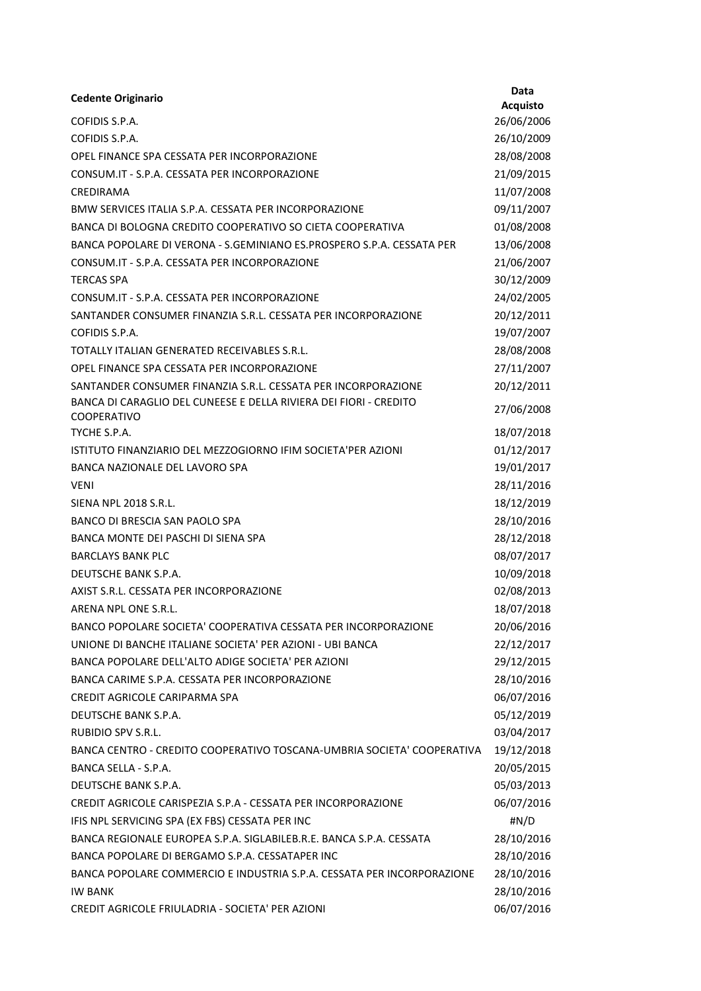| <b>Cedente Originario</b>                                                               | Data            |
|-----------------------------------------------------------------------------------------|-----------------|
|                                                                                         | <b>Acquisto</b> |
| COFIDIS S.P.A.                                                                          | 26/06/2006      |
| COFIDIS S.P.A.                                                                          | 26/10/2009      |
| OPEL FINANCE SPA CESSATA PER INCORPORAZIONE                                             | 28/08/2008      |
| CONSUM.IT - S.P.A. CESSATA PER INCORPORAZIONE                                           | 21/09/2015      |
| CREDIRAMA                                                                               | 11/07/2008      |
| BMW SERVICES ITALIA S.P.A. CESSATA PER INCORPORAZIONE                                   | 09/11/2007      |
| BANCA DI BOLOGNA CREDITO COOPERATIVO SO CIETA COOPERATIVA                               | 01/08/2008      |
| BANCA POPOLARE DI VERONA - S.GEMINIANO ES.PROSPERO S.P.A. CESSATA PER                   | 13/06/2008      |
| CONSUM.IT - S.P.A. CESSATA PER INCORPORAZIONE                                           | 21/06/2007      |
| <b>TERCAS SPA</b>                                                                       | 30/12/2009      |
| CONSUM.IT - S.P.A. CESSATA PER INCORPORAZIONE                                           | 24/02/2005      |
| SANTANDER CONSUMER FINANZIA S.R.L. CESSATA PER INCORPORAZIONE                           | 20/12/2011      |
| COFIDIS S.P.A.                                                                          | 19/07/2007      |
| TOTALLY ITALIAN GENERATED RECEIVABLES S.R.L.                                            | 28/08/2008      |
| OPEL FINANCE SPA CESSATA PER INCORPORAZIONE                                             | 27/11/2007      |
| SANTANDER CONSUMER FINANZIA S.R.L. CESSATA PER INCORPORAZIONE                           | 20/12/2011      |
| BANCA DI CARAGLIO DEL CUNEESE E DELLA RIVIERA DEI FIORI - CREDITO<br><b>COOPERATIVO</b> | 27/06/2008      |
| TYCHE S.P.A.                                                                            | 18/07/2018      |
| ISTITUTO FINANZIARIO DEL MEZZOGIORNO IFIM SOCIETA'PER AZIONI                            | 01/12/2017      |
| BANCA NAZIONALE DEL LAVORO SPA                                                          | 19/01/2017      |
| <b>VENI</b>                                                                             | 28/11/2016      |
| <b>SIENA NPL 2018 S.R.L.</b>                                                            | 18/12/2019      |
| BANCO DI BRESCIA SAN PAOLO SPA                                                          | 28/10/2016      |
| BANCA MONTE DEI PASCHI DI SIENA SPA                                                     | 28/12/2018      |
| <b>BARCLAYS BANK PLC</b>                                                                | 08/07/2017      |
| DEUTSCHE BANK S.P.A.                                                                    | 10/09/2018      |
| AXIST S.R.L. CESSATA PER INCORPORAZIONE                                                 | 02/08/2013      |
| ARENA NPL ONE S.R.L.                                                                    | 18/07/2018      |
| BANCO POPOLARE SOCIETA' COOPERATIVA CESSATA PER INCORPORAZIONE                          | 20/06/2016      |
| UNIONE DI BANCHE ITALIANE SOCIETA' PER AZIONI - UBI BANCA                               | 22/12/2017      |
| BANCA POPOLARE DELL'ALTO ADIGE SOCIETA' PER AZIONI                                      | 29/12/2015      |
| BANCA CARIME S.P.A. CESSATA PER INCORPORAZIONE                                          | 28/10/2016      |
| CREDIT AGRICOLE CARIPARMA SPA                                                           | 06/07/2016      |
| DEUTSCHE BANK S.P.A.                                                                    | 05/12/2019      |
| <b>RUBIDIO SPV S.R.L.</b>                                                               | 03/04/2017      |
| BANCA CENTRO - CREDITO COOPERATIVO TOSCANA-UMBRIA SOCIETA' COOPERATIVA                  | 19/12/2018      |
| BANCA SELLA - S.P.A.                                                                    | 20/05/2015      |
| DEUTSCHE BANK S.P.A.                                                                    | 05/03/2013      |
| CREDIT AGRICOLE CARISPEZIA S.P.A - CESSATA PER INCORPORAZIONE                           | 06/07/2016      |
| IFIS NPL SERVICING SPA (EX FBS) CESSATA PER INC                                         | #N/D            |
| BANCA REGIONALE EUROPEA S.P.A. SIGLABILEB.R.E. BANCA S.P.A. CESSATA                     | 28/10/2016      |
| BANCA POPOLARE DI BERGAMO S.P.A. CESSATAPER INC                                         | 28/10/2016      |
| BANCA POPOLARE COMMERCIO E INDUSTRIA S.P.A. CESSATA PER INCORPORAZIONE                  | 28/10/2016      |
| <b>IW BANK</b>                                                                          | 28/10/2016      |
| CREDIT AGRICOLE FRIULADRIA - SOCIETA' PER AZIONI                                        | 06/07/2016      |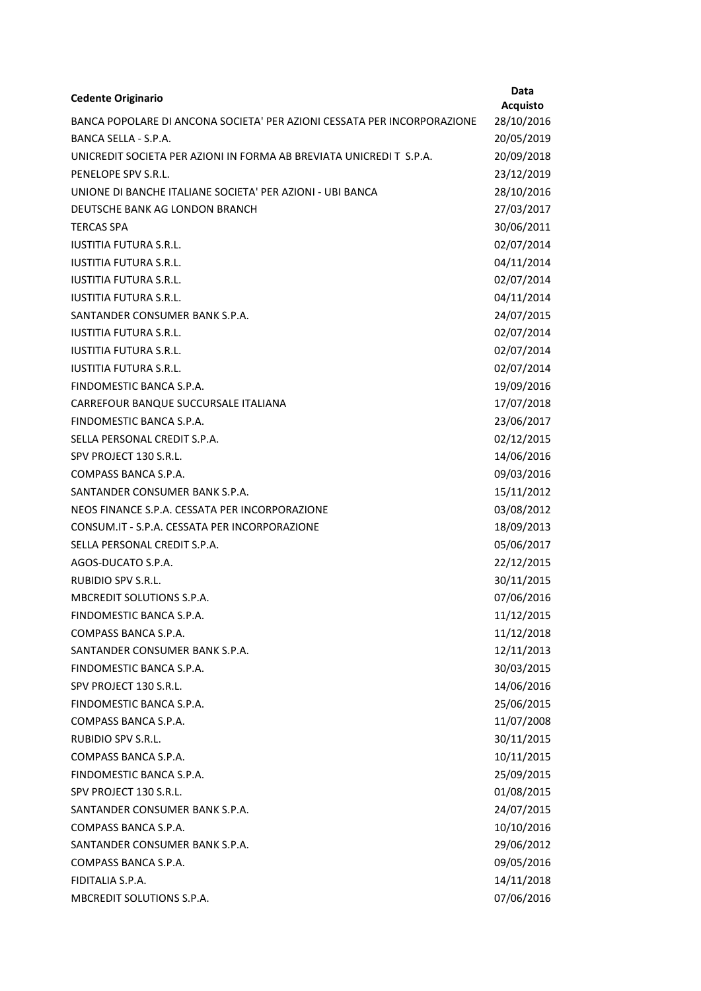| <b>Cedente Originario</b>                                               | <b>Data</b>     |
|-------------------------------------------------------------------------|-----------------|
|                                                                         | <b>Acquisto</b> |
| BANCA POPOLARE DI ANCONA SOCIETA' PER AZIONI CESSATA PER INCORPORAZIONE | 28/10/2016      |
| BANCA SELLA - S.P.A.                                                    | 20/05/2019      |
| UNICREDIT SOCIETA PER AZIONI IN FORMA AB BREVIATA UNICREDIT S.P.A.      | 20/09/2018      |
| PENELOPE SPV S.R.L.                                                     | 23/12/2019      |
| UNIONE DI BANCHE ITALIANE SOCIETA' PER AZIONI - UBI BANCA               | 28/10/2016      |
| DEUTSCHE BANK AG LONDON BRANCH                                          | 27/03/2017      |
| <b>TERCAS SPA</b>                                                       | 30/06/2011      |
| <b>IUSTITIA FUTURA S.R.L.</b>                                           | 02/07/2014      |
| <b>IUSTITIA FUTURA S.R.L.</b>                                           | 04/11/2014      |
| <b>IUSTITIA FUTURA S.R.L.</b>                                           | 02/07/2014      |
| <b>IUSTITIA FUTURA S.R.L.</b>                                           | 04/11/2014      |
| SANTANDER CONSUMER BANK S.P.A.                                          | 24/07/2015      |
| <b>IUSTITIA FUTURA S.R.L.</b>                                           | 02/07/2014      |
| <b>IUSTITIA FUTURA S.R.L.</b>                                           | 02/07/2014      |
| <b>IUSTITIA FUTURA S.R.L.</b>                                           | 02/07/2014      |
| FINDOMESTIC BANCA S.P.A.                                                | 19/09/2016      |
| CARREFOUR BANQUE SUCCURSALE ITALIANA                                    | 17/07/2018      |
| FINDOMESTIC BANCA S.P.A.                                                | 23/06/2017      |
| SELLA PERSONAL CREDIT S.P.A.                                            | 02/12/2015      |
| SPV PROJECT 130 S.R.L.                                                  | 14/06/2016      |
| COMPASS BANCA S.P.A.                                                    | 09/03/2016      |
| SANTANDER CONSUMER BANK S.P.A.                                          | 15/11/2012      |
| NEOS FINANCE S.P.A. CESSATA PER INCORPORAZIONE                          | 03/08/2012      |
| CONSUM.IT - S.P.A. CESSATA PER INCORPORAZIONE                           | 18/09/2013      |
| SELLA PERSONAL CREDIT S.P.A.                                            | 05/06/2017      |
| AGOS-DUCATO S.P.A.                                                      | 22/12/2015      |
| <b>RUBIDIO SPV S.R.L.</b>                                               | 30/11/2015      |
| MBCREDIT SOLUTIONS S.P.A.                                               | 07/06/2016      |
| FINDOMESTIC BANCA S.P.A.                                                | 11/12/2015      |
| COMPASS BANCA S.P.A.                                                    | 11/12/2018      |
| SANTANDER CONSUMER BANK S.P.A.                                          | 12/11/2013      |
| FINDOMESTIC BANCA S.P.A.                                                | 30/03/2015      |
| SPV PROJECT 130 S.R.L.                                                  | 14/06/2016      |
| FINDOMESTIC BANCA S.P.A.                                                | 25/06/2015      |
| COMPASS BANCA S.P.A.                                                    | 11/07/2008      |
| RUBIDIO SPV S.R.L.                                                      | 30/11/2015      |
| COMPASS BANCA S.P.A.                                                    | 10/11/2015      |
| FINDOMESTIC BANCA S.P.A.                                                | 25/09/2015      |
| SPV PROJECT 130 S.R.L.                                                  | 01/08/2015      |
| SANTANDER CONSUMER BANK S.P.A.                                          | 24/07/2015      |
| COMPASS BANCA S.P.A.                                                    | 10/10/2016      |
| SANTANDER CONSUMER BANK S.P.A.                                          | 29/06/2012      |
| COMPASS BANCA S.P.A.                                                    | 09/05/2016      |
| FIDITALIA S.P.A.                                                        | 14/11/2018      |
| MBCREDIT SOLUTIONS S.P.A.                                               | 07/06/2016      |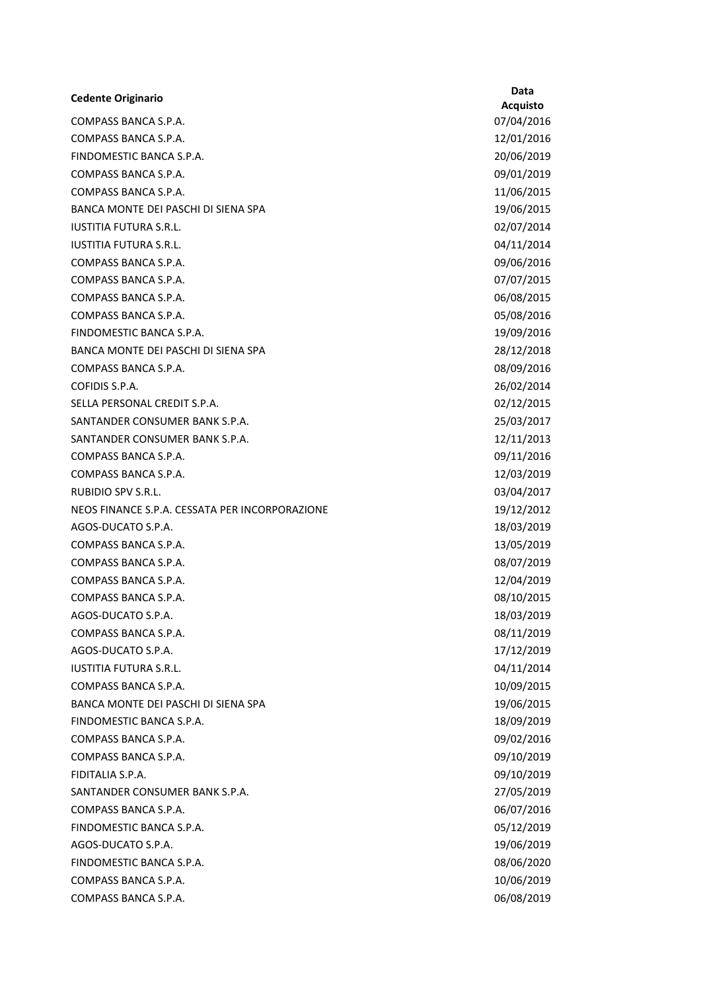| <b>Cedente Originario</b>                      | Data           |
|------------------------------------------------|----------------|
|                                                | <b>Acquist</b> |
| COMPASS BANCA S.P.A.                           | 07/04/20       |
| COMPASS BANCA S.P.A.                           | 12/01/20       |
| FINDOMESTIC BANCA S.P.A.                       | 20/06/20       |
| COMPASS BANCA S.P.A.                           | 09/01/20       |
| COMPASS BANCA S.P.A.                           | 11/06/20       |
| BANCA MONTE DEI PASCHI DI SIENA SPA            | 19/06/20       |
| <b>IUSTITIA FUTURA S.R.L.</b>                  | 02/07/20       |
| <b>IUSTITIA FUTURA S.R.L.</b>                  | 04/11/20       |
| COMPASS BANCA S.P.A.                           | 09/06/20       |
| COMPASS BANCA S.P.A.                           | 07/07/20       |
| COMPASS BANCA S.P.A.                           | 06/08/20       |
| COMPASS BANCA S.P.A.                           | 05/08/20       |
| FINDOMESTIC BANCA S.P.A.                       | 19/09/20       |
| BANCA MONTE DEI PASCHI DI SIENA SPA            | 28/12/20       |
| COMPASS BANCA S.P.A.                           | 08/09/20       |
| COFIDIS S.P.A.                                 | 26/02/20       |
| SELLA PERSONAL CREDIT S.P.A.                   | 02/12/20       |
| SANTANDER CONSUMER BANK S.P.A.                 | 25/03/20       |
| SANTANDER CONSUMER BANK S.P.A.                 | 12/11/20       |
| COMPASS BANCA S.P.A.                           | 09/11/20       |
| COMPASS BANCA S.P.A.                           | 12/03/20       |
| <b>RUBIDIO SPV S.R.L.</b>                      | 03/04/20       |
| NEOS FINANCE S.P.A. CESSATA PER INCORPORAZIONE | 19/12/20       |
| AGOS-DUCATO S.P.A.                             | 18/03/20       |
| COMPASS BANCA S.P.A.                           | 13/05/20       |
| COMPASS BANCA S.P.A.                           | 08/07/20       |
| COMPASS BANCA S.P.A.                           | 12/04/20       |
| COMPASS BANCA S.P.A.                           | 08/10/20       |
| AGOS-DUCATO S.P.A.                             | 18/03/20       |
| COMPASS BANCA S.P.A.                           | 08/11/20       |
| AGOS-DUCATO S.P.A.                             | 17/12/20       |
| <b>IUSTITIA FUTURA S.R.L.</b>                  | 04/11/20       |
| COMPASS BANCA S.P.A.                           | 10/09/20       |
| BANCA MONTE DEI PASCHI DI SIENA SPA            | 19/06/20       |
| FINDOMESTIC BANCA S.P.A.                       | 18/09/20       |
| COMPASS BANCA S.P.A.                           | 09/02/20       |
| COMPASS BANCA S.P.A.                           | 09/10/20       |
| FIDITALIA S.P.A.                               | 09/10/20       |
| SANTANDER CONSUMER BANK S.P.A.                 | 27/05/20       |
| COMPASS BANCA S.P.A.                           | 06/07/20       |
| FINDOMESTIC BANCA S.P.A.                       | 05/12/20       |
| AGOS-DUCATO S.P.A.                             | 19/06/20       |
| FINDOMESTIC BANCA S.P.A.                       | 08/06/20       |
| COMPASS BANCA S.P.A.                           | 10/06/20       |
| COMPASS BANCA S.P.A.                           | 06/08/20       |
|                                                |                |

Acquisto 07/04/2016 12/01/2016 20/06/2019 09/01/2019 11/06/2015 19/06/2015 02/07/2014 04/11/2014 09/06/2016 07/07/2015 06/08/2015 05/08/2016 19/09/2016 28/12/2018 08/09/2016 26/02/2014 02/12/2015 25/03/2017 12/11/2013 09/11/2016 12/03/2019 03/04/2017 19/12/2012 18/03/2019 13/05/2019 08/07/2019 12/04/2019 08/10/2015 18/03/2019 08/11/2019 17/12/2019 04/11/2014 10/09/2015 19/06/2015 18/09/2019 09/02/2016 09/10/2019 09/10/2019 27/05/2019 06/07/2016 05/12/2019 19/06/2019 08/06/2020 10/06/2019 06/08/2019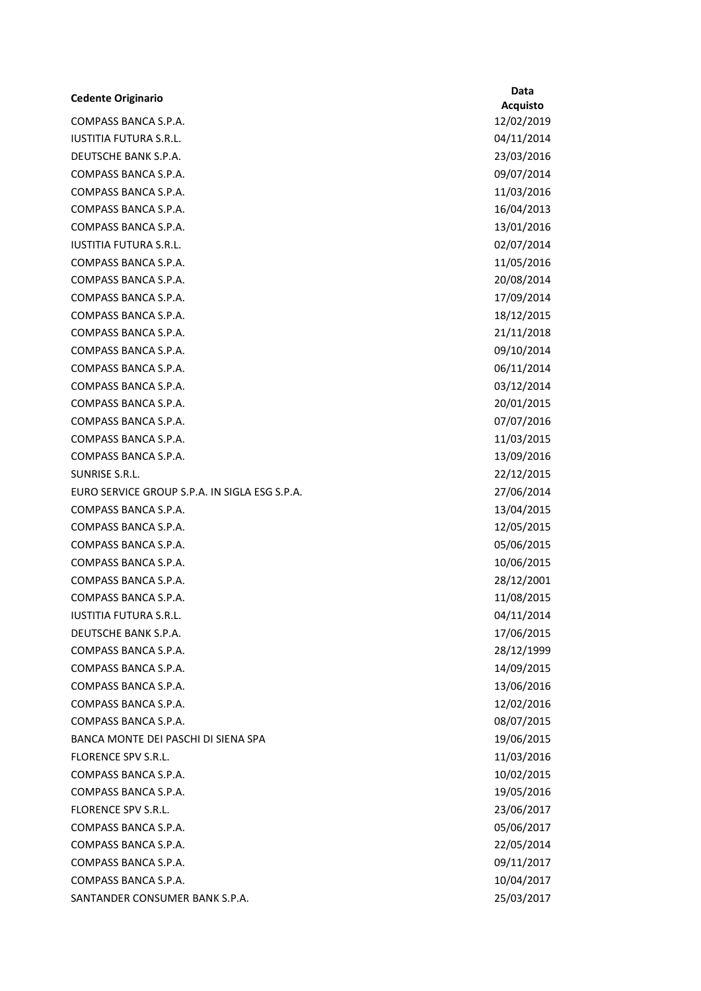## Cedente Originario Data

COMPASS BANCA S.P.A. 12/02/2019 IUSTITIA FUTURA S.R.L. 04/11/2014 DEUTSCHE BANK S.P.A. 23/03/2016 COMPASS BANCA S.P.A. 09/07/2014 COMPASS BANCA S.P.A. 11/03/2016 COMPASS BANCA S.P.A. 16/04/2013 COMPASS BANCA S.P.A. 13/01/2016 IUSTITIA FUTURA S.R.L. 02/07/2014 COMPASS BANCA S.P.A. 11/05/2016 COMPASS BANCA S.P.A. 20/08/2014 COMPASS BANCA S.P.A. 17/09/2014 COMPASS BANCA S.P.A. 18/12/2015 COMPASS BANCA S.P.A. 21/11/2018 COMPASS BANCA S.P.A. 09/10/2014 COMPASS BANCA S.P.A. 06/11/2014 COMPASS BANCA S.P.A. 03/12/2014 COMPASS BANCA S.P.A. 20/01/2015 COMPASS BANCA S.P.A. 07/07/2016 COMPASS BANCA S.P.A. 11/03/2015 COMPASS BANCA S.P.A. 13/09/2016 SUNRISE S.R.L. 22/12/2015 EURO SERVICE GROUP S.P.A. IN SIGLA ESG S.P.A. 27/06/2014 COMPASS BANCA S.P.A. 13/04/2015 COMPASS BANCA S.P.A. 12/05/2015 COMPASS BANCA S.P.A. 05/06/2015 COMPASS BANCA S.P.A. 10/06/2015 COMPASS BANCA S.P.A. 28/12/2001 COMPASS BANCA S.P.A. 11/08/2015 IUSTITIA FUTURA S.R.L. 04/11/2014 DEUTSCHE BANK S.P.A. 17/06/2015 COMPASS BANCA S.P.A. 28/12/1999 COMPASS BANCA S.P.A. 14/09/2015 COMPASS BANCA S.P.A. 13/06/2016 COMPASS BANCA S.P.A. 12/02/2016 COMPASS BANCA S.P.A. 08/07/2015 BANCA MONTE DEI PASCHI DI SIENA SPA 19/06/2015 FLORENCE SPV S.R.L. 11/03/2016 COMPASS BANCA S.P.A. 10/02/2015 COMPASS BANCA S.P.A. 19/05/2016 FLORENCE SPV S.R.L. 23/06/2017 COMPASS BANCA S.P.A. 05/06/2017 COMPASS BANCA S.P.A. 22/05/2014 COMPASS BANCA S.P.A. 09/11/2017 COMPASS BANCA S.P.A. 10/04/2017 SANTANDER CONSUMER BANK S.P.A. 25/03/2017

Acquisto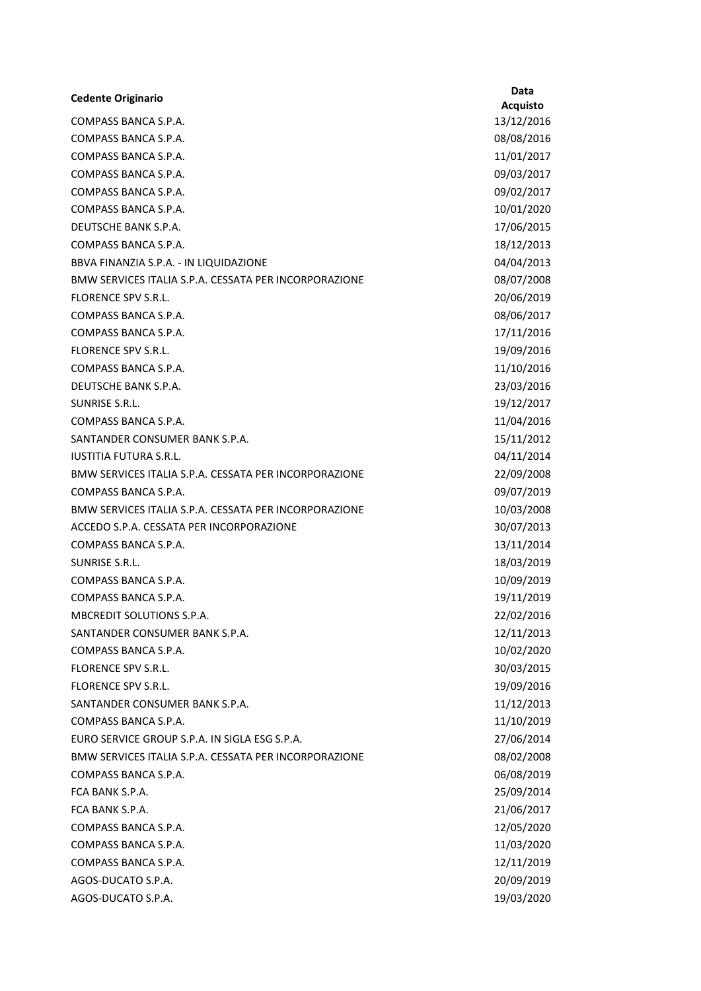| <b>Cedente Originario</b>                             | <b>Data</b>     |
|-------------------------------------------------------|-----------------|
|                                                       | <b>Acquisto</b> |
| COMPASS BANCA S.P.A.                                  | 13/12/2016      |
| COMPASS BANCA S.P.A.                                  | 08/08/2016      |
| COMPASS BANCA S.P.A.                                  | 11/01/2017      |
| COMPASS BANCA S.P.A.                                  | 09/03/2017      |
| COMPASS BANCA S.P.A.                                  | 09/02/2017      |
| COMPASS BANCA S.P.A.                                  | 10/01/2020      |
| DEUTSCHE BANK S.P.A.                                  | 17/06/2015      |
| COMPASS BANCA S.P.A.                                  | 18/12/2013      |
| BBVA FINANZIA S.P.A. - IN LIQUIDAZIONE                | 04/04/2013      |
| BMW SERVICES ITALIA S.P.A. CESSATA PER INCORPORAZIONE | 08/07/2008      |
| FLORENCE SPV S.R.L.                                   | 20/06/2019      |
| COMPASS BANCA S.P.A.                                  | 08/06/2017      |
| COMPASS BANCA S.P.A.                                  | 17/11/2016      |
| FLORENCE SPV S.R.L.                                   | 19/09/2016      |
| COMPASS BANCA S.P.A.                                  | 11/10/2016      |
| DEUTSCHE BANK S.P.A.                                  | 23/03/2016      |
| SUNRISE S.R.L.                                        | 19/12/2017      |
| COMPASS BANCA S.P.A.                                  | 11/04/2016      |
| SANTANDER CONSUMER BANK S.P.A.                        | 15/11/2012      |
| <b>IUSTITIA FUTURA S.R.L.</b>                         | 04/11/2014      |
| BMW SERVICES ITALIA S.P.A. CESSATA PER INCORPORAZIONE | 22/09/2008      |
| COMPASS BANCA S.P.A.                                  | 09/07/2019      |
| BMW SERVICES ITALIA S.P.A. CESSATA PER INCORPORAZIONE | 10/03/2008      |
| ACCEDO S.P.A. CESSATA PER INCORPORAZIONE              | 30/07/2013      |
| COMPASS BANCA S.P.A.                                  | 13/11/2014      |
| SUNRISE S.R.L.                                        | 18/03/2019      |
| COMPASS BANCA S.P.A.                                  | 10/09/2019      |
| COMPASS BANCA S.P.A.                                  | 19/11/2019      |
| MBCREDIT SOLUTIONS S.P.A.                             | 22/02/2016      |
| SANTANDER CONSUMER BANK S.P.A.                        | 12/11/2013      |
| COMPASS BANCA S.P.A.                                  | 10/02/2020      |
| <b>FLORENCE SPV S.R.L.</b>                            | 30/03/2015      |
| <b>FLORENCE SPV S.R.L.</b>                            | 19/09/2016      |
| SANTANDER CONSUMER BANK S.P.A.                        | 11/12/2013      |
| COMPASS BANCA S.P.A.                                  | 11/10/2019      |
| EURO SERVICE GROUP S.P.A. IN SIGLA ESG S.P.A.         | 27/06/2014      |
| BMW SERVICES ITALIA S.P.A. CESSATA PER INCORPORAZIONE | 08/02/2008      |
| COMPASS BANCA S.P.A.                                  | 06/08/2019      |
| FCA BANK S.P.A.                                       | 25/09/2014      |
| FCA BANK S.P.A.                                       | 21/06/2017      |
| COMPASS BANCA S.P.A.                                  | 12/05/2020      |
| COMPASS BANCA S.P.A.                                  | 11/03/2020      |
| COMPASS BANCA S.P.A.                                  | 12/11/2019      |
| AGOS-DUCATO S.P.A.                                    | 20/09/2019      |
| AGOS-DUCATO S.P.A.                                    | 19/03/2020      |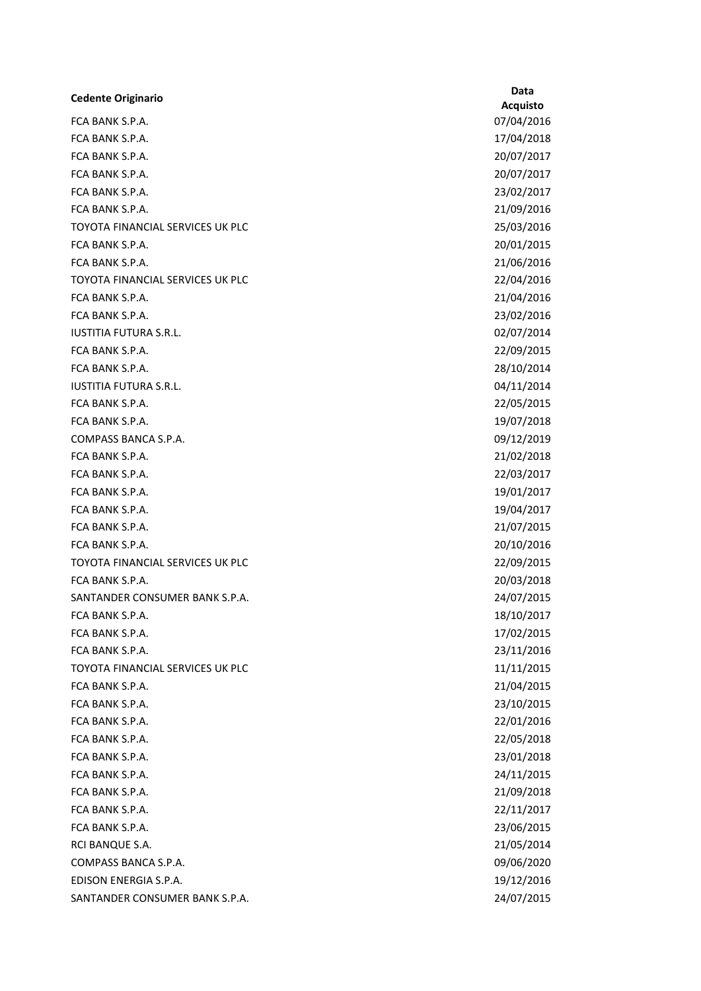| <b>Cedente Originario</b>               | Data           |
|-----------------------------------------|----------------|
|                                         | <b>Acquist</b> |
| FCA BANK S.P.A.                         | 07/04/20       |
| FCA BANK S.P.A.                         | 17/04/20       |
| FCA BANK S.P.A.                         | 20/07/20       |
| FCA BANK S.P.A.                         | 20/07/20       |
| FCA BANK S.P.A.                         | 23/02/20       |
| FCA BANK S.P.A.                         | 21/09/20       |
| <b>TOYOTA FINANCIAL SERVICES UK PLC</b> | 25/03/20       |
| FCA BANK S.P.A.                         | 20/01/20       |
| FCA BANK S.P.A.                         | 21/06/20       |
| TOYOTA FINANCIAL SERVICES UK PLC        | 22/04/20       |
| FCA BANK S.P.A.                         | 21/04/20       |
| FCA BANK S.P.A.                         | 23/02/20       |
| <b>IUSTITIA FUTURA S.R.L.</b>           | 02/07/20       |
| FCA BANK S.P.A.                         | 22/09/20       |
| FCA BANK S.P.A.                         | 28/10/20       |
| <b>IUSTITIA FUTURA S.R.L.</b>           | 04/11/20       |
| FCA BANK S.P.A.                         | 22/05/20       |
| FCA BANK S.P.A.                         | 19/07/20       |
| COMPASS BANCA S.P.A.                    | 09/12/20       |
| FCA BANK S.P.A.                         | 21/02/20       |
| FCA BANK S.P.A.                         | 22/03/20       |
| FCA BANK S.P.A.                         | 19/01/20       |
| FCA BANK S.P.A.                         | 19/04/20       |
| FCA BANK S.P.A.                         | 21/07/20       |
| FCA BANK S.P.A.                         | 20/10/20       |
| TOYOTA FINANCIAL SERVICES UK PLC        | 22/09/20       |
| FCA BANK S.P.A.                         | 20/03/20       |
| SANTANDER CONSUMER BANK S.P.A.          | 24/07/20       |
| FCA BANK S.P.A.                         | 18/10/20       |
| FCA BANK S.P.A.                         | 17/02/20       |
| FCA BANK S.P.A.                         | 23/11/20       |
| TOYOTA FINANCIAL SERVICES UK PLC        | 11/11/20       |
| FCA BANK S.P.A.                         | 21/04/20       |
| FCA BANK S.P.A.                         | 23/10/20       |
| FCA BANK S.P.A.                         | 22/01/20       |
| FCA BANK S.P.A.                         | 22/05/20       |
| FCA BANK S.P.A.                         | 23/01/20       |
| FCA BANK S.P.A.                         | 24/11/20       |
| FCA BANK S.P.A.                         | 21/09/20       |
| FCA BANK S.P.A.                         | 22/11/20       |
| FCA BANK S.P.A.                         | 23/06/20       |
| RCI BANQUE S.A.                         | 21/05/20       |
| COMPASS BANCA S.P.A.                    | 09/06/20       |
| EDISON ENERGIA S.P.A.                   | 19/12/20       |
| SANTANDER CONSUMER BANK S.P.A.          | 24/07/20       |

Acquisto 07/04/2016 17/04/2018 20/07/2017 20/07/2017 23/02/2017 21/09/2016 25/03/2016 20/01/2015 21/06/2016 22/04/2016 21/04/2016 23/02/2016 02/07/2014 22/09/2015 28/10/2014 04/11/2014 22/05/2015 19/07/2018 09/12/2019 21/02/2018 22/03/2017 19/01/2017 19/04/2017 21/07/2015 20/10/2016 22/09/2015 20/03/2018 24/07/2015 18/10/2017 17/02/2015 23/11/2016  $11/11/2015$ 21/04/2015 23/10/2015 22/01/2016 22/05/2018 23/01/2018 24/11/2015 21/09/2018 22/11/2017 23/06/2015 21/05/2014 09/06/2020 19/12/2016 24/07/2015